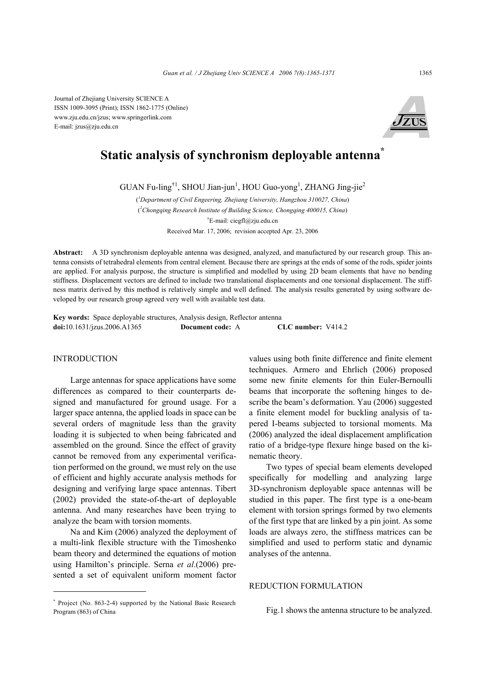Journal of Zhejiang University SCIENCE A ISSN 1009-3095 (Print); ISSN 1862-1775 (Online) www.zju.edu.cn/jzus; www.springerlink.com E-mail: jzus@zju.edu.cn



# **Static analysis of synchronism deployable antenna\***

GUAN Fu-ling<sup>†1</sup>, SHOU Jian-jun<sup>1</sup>, HOU Guo-yong<sup>1</sup>, ZHANG Jing-jie<sup>2</sup>

( *1 Department of Civil Engeering, Zhejiang University, Hangzhou 310027, China*) ( *2 Chongqing Research Institute of Building Science, Chongqing 400015, China*) † E-mail: ciegfl@zju.edu.cn Received Mar. 17, 2006; revision accepted Apr. 23, 2006

**Abstract:** A 3D synchronism deployable antenna was designed, analyzed, and manufactured by our research group. This antenna consists of tetrahedral elements from central element. Because there are springs at the ends of some of the rods, spider joints are applied. For analysis purpose, the structure is simplified and modelled by using 2D beam elements that have no bending stiffness. Displacement vectors are defined to include two translational displacements and one torsional displacement. The stiffness matrix derived by this method is relatively simple and well defined. The analysis results generated by using software developed by our research group agreed very well with available test data.

**Key words:** Space deployable structures, Analysis design, Reflector antenna **doi:**10.1631/jzus.2006.A1365 **Document code:** A **CLC number:** V414.2

#### INTRODUCTION

Large antennas for space applications have some differences as compared to their counterparts designed and manufactured for ground usage. For a larger space antenna, the applied loads in space can be several orders of magnitude less than the gravity loading it is subjected to when being fabricated and assembled on the ground. Since the effect of gravity cannot be removed from any experimental verification performed on the ground, we must rely on the use of efficient and highly accurate analysis methods for designing and verifying large space antennas. Tibert (2002) provided the state-of-the-art of deployable antenna. And many researches have been trying to analyze the beam with torsion moments.

Na and Kim (2006) analyzed the deployment of a multi-link flexible structure with the Timoshenko beam theory and determined the equations of motion using Hamilton's principle. Serna *et al*.(2006) presented a set of equivalent uniform moment factor values using both finite difference and finite element techniques. Armero and Ehrlich (2006) proposed some new finite elements for thin Euler-Bernoulli beams that incorporate the softening hinges to describe the beam's deformation. Yau (2006) suggested a finite element model for buckling analysis of tapered I-beams subjected to torsional moments. Ma (2006) analyzed the ideal displacement amplification ratio of a bridge-type flexure hinge based on the kinematic theory.

Two types of special beam elements developed specifically for modelling and analyzing large 3D-synchronism deployable space antennas will be studied in this paper. The first type is a one-beam element with torsion springs formed by two elements of the first type that are linked by a pin joint. As some loads are always zero, the stiffness matrices can be simplified and used to perform static and dynamic analyses of the antenna.

## REDUCTION FORMULATION

Fig.1 shows the antenna structure to be analyzed.

<sup>\*</sup> Project (No. 863-2-4) supported by the National Basic Research Program (863) of China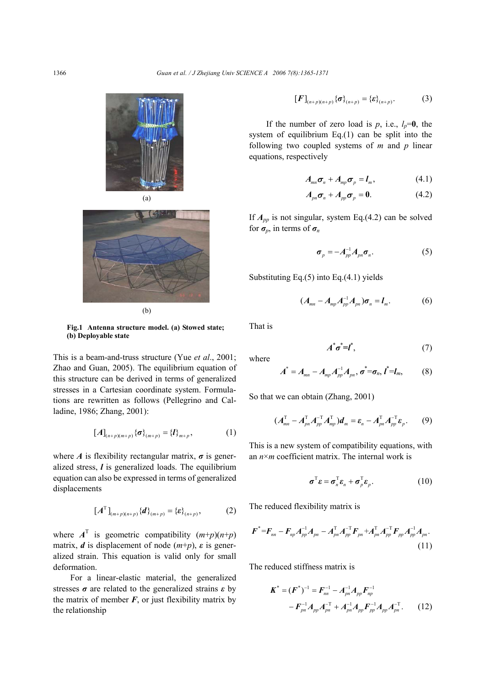



**Fig.1 Antenna structure model. (a) Stowed state; (b) Deployable state** 

This is a beam-and-truss structure (Yue *et al*., 2001; Zhao and Guan, 2005). The equilibrium equation of this structure can be derived in terms of generalized stresses in a Cartesian coordinate system. Formulations are rewritten as follows (Pellegrino and Calladine, 1986; Zhang, 2001):

$$
[A]_{(n+p)(m+p)} \{\sigma\}_{(m+p)} = \{l\}_{m+p}, \tag{1}
$$

where *A* is flexibility rectangular matrix,  $\sigma$  is generalized stress, *l* is generalized loads. The equilibrium equation can also be expressed in terms of generalized displacements

$$
[AT](m+p)(n+p) {d}(m+p) = {\varepsilon}(n+p), (2)
$$

where  $A^T$  is geometric compatibility  $(m+p)(n+p)$ matrix, *d* is displacement of node  $(m+p)$ , *ε* is generalized strain. This equation is valid only for small deformation.

For a linear-elastic material, the generalized stresses *σ* are related to the generalized strains *ε* by the matrix of member  $F$ , or just flexibility matrix by the relationship

$$
[F]_{(n+p)(n+p)} \{\sigma\}_{(n+p)} = {\{\varepsilon\}}_{(n+p)}.
$$
 (3)

If the number of zero load is  $p$ , i.e.,  $l_p=0$ , the system of equilibrium Eq.(1) can be split into the following two coupled systems of *m* and *p* linear equations, respectively

$$
A_{mn}\boldsymbol{\sigma}_n + A_{mp}\boldsymbol{\sigma}_p = \boldsymbol{l}_m, \qquad (4.1)
$$

$$
A_{pn}\boldsymbol{\sigma}_n + A_{pp}\boldsymbol{\sigma}_p = \mathbf{0}.\tag{4.2}
$$

If  $A_{pp}$  is not singular, system Eq.(4.2) can be solved for  $\sigma_p$ , in terms of  $\sigma_n$ 

$$
\boldsymbol{\sigma}_p = -\boldsymbol{A}_{pp}^{-1}\boldsymbol{A}_{pn}\boldsymbol{\sigma}_n. \tag{5}
$$

Substituting Eq.(5) into Eq.(4.1) yields

$$
(A_{mn}-A_{mp}A_{pp}^{-1}A_{pn})\sigma_n=l_m.
$$
 (6)

That is

$$
A^*\sigma^* = I^*,\tag{7}
$$

where

$$
A^* = A_{mn} - A_{mp}A_{pp}^{-1}A_{pn}, \sigma^* = \sigma_n, I^* = I_m,
$$
 (8)

So that we can obtain (Zhang, 2001)

$$
(A_{mn}^{\mathrm{T}}-A_{pn}^{\mathrm{T}}A_{pp}^{-1}A_{mp}^{\mathrm{T}})d_{m}=\varepsilon_{n}-A_{pn}^{\mathrm{T}}A_{pp}^{-1}\varepsilon_{p}.
$$
 (9)

This is a new system of compatibility equations, with an *n*×*m* coefficient matrix. The internal work is

$$
\boldsymbol{\sigma}^{\mathrm{T}} \boldsymbol{\varepsilon} = \boldsymbol{\sigma}_n^{\mathrm{T}} \boldsymbol{\varepsilon}_n + \boldsymbol{\sigma}_p^{\mathrm{T}} \boldsymbol{\varepsilon}_p. \tag{10}
$$

The reduced flexibility matrix is

$$
F^* = F_{nn} - F_{np}A_{pp}^{-1}A_{pn} - A_{pn}^{\mathrm{T}}A_{pp}^{-1}F_{pn} + A_{pn}^{\mathrm{T}}A_{pp}^{-1}F_{pp}A_{pp}^{-1}A_{pn}.
$$
\n(11)

The reduced stiffness matrix is

$$
\mathbf{K}^* = (\mathbf{F}^*)^{-1} = \mathbf{F}_{nn}^{-1} - \mathbf{A}_{pn}^{-1} \mathbf{A}_{pp} \mathbf{F}_{np}^{-1}
$$

$$
- \mathbf{F}_{pn}^{-1} \mathbf{A}_{pp} \mathbf{A}_{pn}^{-T} + \mathbf{A}_{pn}^{-1} \mathbf{A}_{pp} \mathbf{F}_{pp}^{-1} \mathbf{A}_{pp} \mathbf{A}_{pn}^{-T}.
$$
 (12)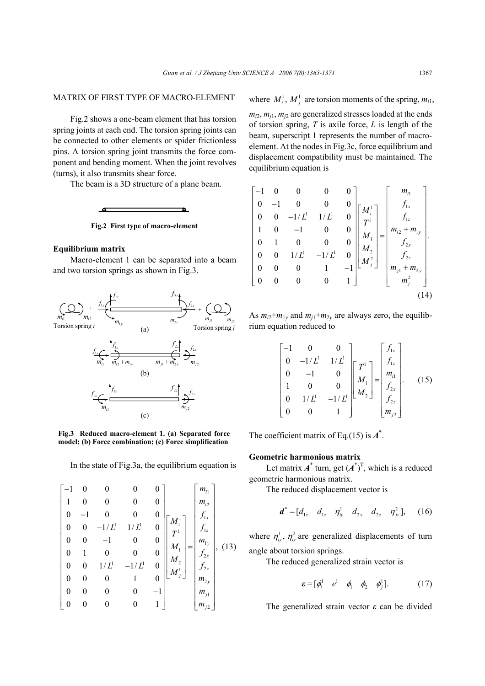## MATRIX OF FIRST TYPE OF MACRO-ELEMENT

Fig.2 shows a one-beam element that has torsion spring joints at each end. The torsion spring joints can be connected to other elements or spider frictionless pins. A torsion spring joint transmits the force component and bending moment. When the joint revolves (turns), it also transmits shear force.

The beam is a 3D structure of a plane beam.



#### **Equilibrium matrix**

Macro-element 1 can be separated into a beam and two torsion springs as shown in Fig.3.



**Fig.3 Reduced macro-element 1. (a) Separated force model; (b) Force combination; (c) Force simplification**

In the state of Fig.3a, the equilibrium equation is

$$
\begin{bmatrix}\n-1 & 0 & 0 & 0 & 0 \\
1 & 0 & 0 & 0 & 0 \\
0 & -1 & 0 & 0 & 0 \\
0 & 0 & -1/L' & 1/L' & 0 \\
0 & 0 & -1 & 0 & 0 \\
0 & 1 & 0 & 0 & 0 \\
0 & 0 & 1/L' & -1/L' & 0 \\
0 & 0 & 0 & 1 & 0 \\
0 & 0 & 0 & 0 & -1 \\
0 & 0 & 0 & 0 & -1 \\
0 & 0 & 0 & 0 & 1\n\end{bmatrix}\n\begin{bmatrix}\nm_{i1} \\
m_{i2} \\
m_{11} \\
m_{12} \\
m_{21} \\
m_{22} \\
m_{22} \\
m_{23}\n\end{bmatrix}, (13)
$$

where  $M_i^1, M_j^1$  are torsion moments of the spring,  $m_{i1}$ ,

 $m_{i2}$ ,  $m_{j1}$ ,  $m_{j2}$  are generalized stresses loaded at the ends of torsion spring, *T* is axile force, *L* is length of the beam, superscript 1 represents the number of macroelement. At the nodes in Fig.3c, force equilibrium and displacement compatibility must be maintained. The equilibrium equation is

$$
\begin{bmatrix}\n-1 & 0 & 0 & 0 & 0 \\
0 & -1 & 0 & 0 & 0 \\
0 & 0 & -1/L^1 & 1/L^1 & 0 \\
1 & 0 & -1 & 0 & 0 \\
0 & 1 & 0 & 0 & 0 \\
0 & 0 & 1/L^1 & -1/L^1 & 0 \\
0 & 0 & 0 & 1 & -1 \\
0 & 0 & 0 & 0 & 1\n\end{bmatrix}\n\begin{bmatrix}\nM_i^1 \\
T^1 \\
M_1 \\
M_2 \\
M_2^2 \\
H_3^2\n\end{bmatrix} = \begin{bmatrix}\nm_{i1} \\
f_{1x} \\
f_{1z} \\
m_{i2} + m_{1y} \\
f_{2x} \\
f_{2z} \\
m_{j1} + m_{2y} \\
m_j^2\n\end{bmatrix}.
$$
\n(14)

As  $m_{i2} + m_{1y}$  and  $m_{j1} + m_{2y}$  are always zero, the equilibrium equation reduced to

$$
\begin{bmatrix} -1 & 0 & 0 \ 0 & -1/L^1 & 1/L^1 \ 0 & -1 & 0 \ 1 & 0 & 0 \ 0 & 1/L^1 & -1/L^1 \ 0 & 0 & 1 \end{bmatrix} \begin{bmatrix} T^1 \\ M_1 \\ M_2 \end{bmatrix} = \begin{bmatrix} f_{1x} \\ f_{1z} \\ m_{11} \\ f_{2x} \\ f_{2z} \\ m_{j2} \end{bmatrix} .
$$
 (15)

The coefficient matrix of Eq.(15) is  $A^*$ .

## **Geometric harmonious matrix**

Let matrix  $A^*$  turn, get  $(A^*)^T$ , which is a reduced geometric harmonious matrix.

The reduced displacement vector is

$$
\boldsymbol{d}^* = [d_{1x} \quad d_{1z} \quad \eta_{iy}^1 \quad d_{2x} \quad d_{2z} \quad \eta_{jy}^2], \quad (16)
$$

where  $\eta_{iy}^1$ ,  $\eta_{iy}^2$  are generalized displacements of turn angle about torsion springs.

The reduced generalized strain vector is

$$
\boldsymbol{\varepsilon} = [\phi_i^1 \quad e^1 \quad \phi_1 \quad \phi_2 \quad \phi_j^1]. \tag{17}
$$

The generalized strain vector *ε* can be divided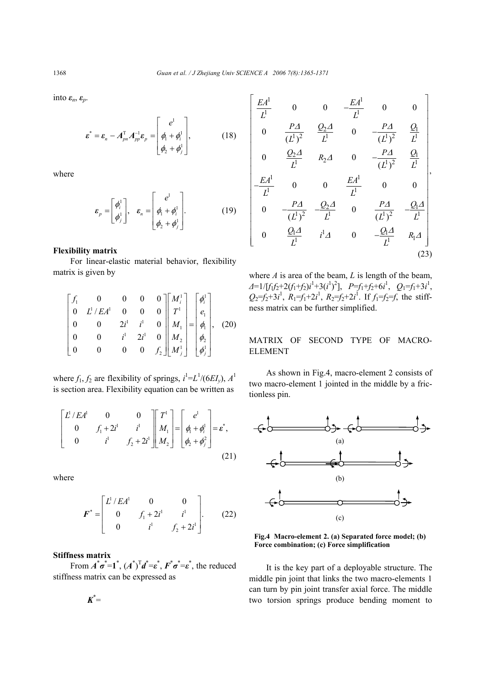into *εn*, *εp*.

$$
\boldsymbol{\varepsilon}^* = \boldsymbol{\varepsilon}_n - A_{pn}^{\mathrm{T}} A_{pp}^{-1} \boldsymbol{\varepsilon}_p = \begin{bmatrix} e^1 \\ \phi_1 + \phi_i^1 \\ \phi_2 + \phi_j^1 \end{bmatrix}, \qquad (18)
$$

where

$$
\boldsymbol{\varepsilon}_p = \begin{bmatrix} \phi_i^1 \\ \phi_j^1 \end{bmatrix}, \quad \boldsymbol{\varepsilon}_n = \begin{bmatrix} e^1 \\ \phi_1 + \phi_i^1 \\ \phi_2 + \phi_j^1 \end{bmatrix} . \tag{19}
$$

## **Flexibility matrix**

For linear-elastic material behavior, flexibility matrix is given by

$$
\begin{bmatrix} f_1 & 0 & 0 & 0 & 0 \ 0 & L^1/EA^1 & 0 & 0 & 0 \ 0 & 0 & 2i^1 & i^1 & 0 \ 0 & 0 & i^1 & 2i^1 & 0 \ 0 & 0 & 0 & 0 & f_2 \end{bmatrix} \begin{bmatrix} M_i^1 \\ T^1 \\ M_1 \\ M_2 \\ M_2 \\ M_j^1 \end{bmatrix} = \begin{bmatrix} \phi_i^1 \\ e_1 \\ \phi_1 \\ \phi_2 \\ \phi_j^1 \end{bmatrix}, \quad (20)
$$

where  $f_1, f_2$  are flexibility of springs,  $i^1 = L^1/(6EI_y)$ ,  $A^1$ is section area. Flexibility equation can be written as

$$
\begin{bmatrix} L^1/EA^1 & 0 & 0 \ 0 & f_1 + 2i^1 & i^1 \ 0 & i^1 & f_2 + 2i^1 \end{bmatrix} \begin{bmatrix} T^1 \\ M_1 \\ M_2 \end{bmatrix} = \begin{bmatrix} e^1 \\ \phi_1 + \phi_i^1 \\ \phi_2 + \phi_j^2 \end{bmatrix} = \varepsilon^*,
$$
\n(21)

where

$$
\boldsymbol{F}^* = \begin{bmatrix} L^1 / E A^1 & 0 & 0 \\ 0 & f_1 + 2i^1 & i^1 \\ 0 & i^1 & f_2 + 2i^1 \end{bmatrix} . \tag{22}
$$

#### **Stiffness matrix**

From  $\vec{A}^*\sigma^* = \vec{I}^*, (\vec{A}^*)^T \vec{d}^* = \varepsilon^*, \vec{F}^* \sigma^* = \varepsilon^*,$  the reduced stiffness matrix can be expressed as

$$
K^*=
$$

$$
\begin{bmatrix}\n\frac{EA^1}{L^1} & 0 & 0 & -\frac{EA^1}{L^1} & 0 & 0 \\
0 & \frac{PA}{(L^1)^2} & \frac{Q_2A}{L^1} & 0 & -\frac{PA}{(L^1)^2} & \frac{Q_1}{L^1} \\
0 & \frac{Q_2A}{L^1} & R_2A & 0 & -\frac{PA}{(L^1)^2} & \frac{Q_1}{L^1} \\
-\frac{EA^1}{L^1} & 0 & 0 & \frac{EA^1}{L^1} & 0 & 0 \\
0 & -\frac{PA}{(L^1)^2} & -\frac{Q_2A}{L^1} & 0 & \frac{PA}{(L^1)^2} & -\frac{Q_1A}{L^1} \\
0 & \frac{Q_1A}{L^1} & i^1A & 0 & -\frac{Q_1A}{L^1} & R_1A\n\end{bmatrix}
$$
\n(23)

where *A* is area of the beam, *L* is length of the beam,  $\Delta$ =1/[*f*<sub>1</sub>*f*<sub>2</sub>+2(*f*<sub>1</sub>+*f*<sub>2</sub>)*i*<sup>1</sup>+3(*i*<sup>1</sup>)<sup>2</sup>],  $P=f_1+f_2+6i^1$ ,  $Q_1=f_1+3i^1$ ,  $Q_2 = f_2 + 3i^1$ ,  $R_1 = f_1 + 2i^1$ ,  $R_2 = f_2 + 2i^1$ . If  $f_1 = f_2 = f$ , the stiffness matrix can be further simplified.

# MATRIX OF SECOND TYPE OF MACRO-ELEMENT

As shown in Fig.4, macro-element 2 consists of two macro-element 1 jointed in the middle by a frictionless pin.





It is the key part of a deployable structure. The middle pin joint that links the two macro-elements 1 can turn by pin joint transfer axial force. The middle two torsion springs produce bending moment to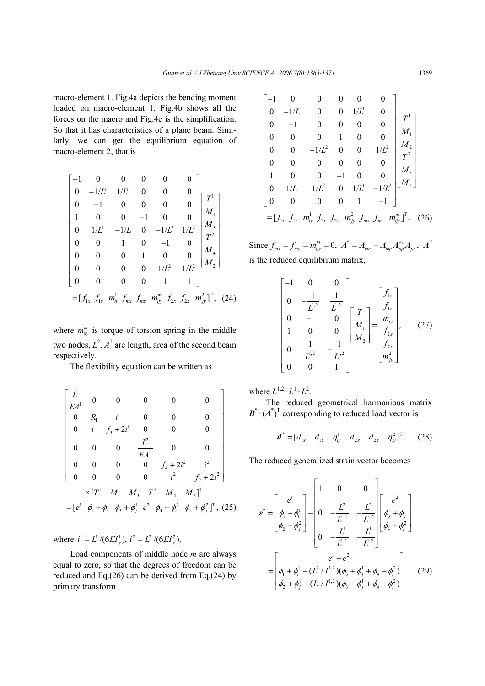macro-element 1. Fig.4a depicts the bending moment loaded on macro-element 1, Fig.4b shows all the forces on the macro and Fig.4c is the simplification. So that it has characteristics of a plane beam. Similarly, we can get the equilibrium equation of macro-element 2, that is

$$
\begin{bmatrix}\n-1 & 0 & 0 & 0 & 0 & 0 \\
0 & -1/L^1 & 1/L^1 & 0 & 0 & 0 \\
0 & -1 & 0 & 0 & 0 & 0 \\
1 & 0 & 0 & -1 & 0 & 0 \\
0 & 1/L^1 & -1/L & 0 & -1/L^2 & 1/L^2 \\
0 & 0 & 1 & 0 & -1 & 0 \\
0 & 0 & 0 & 1 & 0 & 0 \\
0 & 0 & 0 & 0 & 1/L^2 & 1/L^2 \\
0 & 0 & 0 & 0 & 1 & 1\n\end{bmatrix}\n\begin{bmatrix}\nT^1 \\
M_1 \\
M_3 \\
T^2 \\
M_4 \\
M_2\n\end{bmatrix}
$$
\n
$$
= [f_{1x} \ f_{1z} \ m_{ij}^1 \ f_{mx} \ f_{nx} \ m_{ij}^m \ f_{2x} \ f_{2z} \ m_{jj}^2]^T, (24)
$$

where  $m_{ijy}^m$  is torque of torsion spring in the middle two nodes,  $L^2$ ,  $A^2$  are length, area of the second beam respectively.

The flexibility equation can be written as

$$
\begin{bmatrix}\nL^1 & 0 & 0 & 0 & 0 & 0 \\
E A^1 & 0 & 0 & 0 & 0 \\
0 & R_1 & i^1 & 0 & 0 & 0 \\
0 & i^1 & f_3 + 2i^1 & 0 & 0 & 0 \\
0 & 0 & 0 & \frac{L^2}{EA^2} & 0 & 0 \\
0 & 0 & 0 & 0 & f_4 + 2i^2 & i^2 \\
0 & 0 & 0 & 0 & i^2 & f_2 + 2i^2\n\end{bmatrix}
$$
\n
$$
\times [T^1 M_1 M_3 T^2 M_4 M_2]^T
$$
\n
$$
= [e^1 \phi_1 + \phi_i^1 \phi_3 + \phi_j^1 e^2 \phi_4 + \phi_i^2 \phi_2 + \phi_j^2]^T, (25)
$$

where  $i^1 = L^1 / (6EI_v^1)$ ,  $i^2 = L^2 / (6EI_v^2)$ .

Load components of middle node *m* are always equal to zero, so that the degrees of freedom can be reduced and Eq.(26) can be derived from Eq.(24) by primary transform

$$
\begin{bmatrix}\n-1 & 0 & 0 & 0 & 0 & 0 \\
0 & -1/L^1 & 0 & 0 & 1/L^1 & 0 \\
0 & -1 & 0 & 0 & 0 & 0 \\
0 & 0 & 0 & 1 & 0 & 0 \\
0 & 0 & -1/L^2 & 0 & 0 & 1/L^2 \\
0 & 0 & 0 & 0 & 0 & 0 \\
1 & 0 & 0 & -1 & 0 & 0 \\
0 & 1/L^1 & 1/L^2 & 0 & 1/L^1 & -1/L^2 \\
0 & 0 & 0 & 0 & 1 & -1\n\end{bmatrix}\n\begin{bmatrix}\nT^1 \\
M_1 \\
M_2 \\
T^2 \\
M_3 \\
M_4\n\end{bmatrix}
$$
\n
$$
= [f_{1x} \ f_{1z} \ m_{iy}^1 \ f_{2x} \ f_{2z} \ m_{jy}^2 \ f_{mx} \ f_{mx} \ m_{ijy}^m]^T. (26)
$$

Since  $f_{mx} = f_{my} = m_{ijy}^m = 0$ ,  $A^* = A_{mn} - A_{mp}A_{pp}^{-1}A_{pn}$ ,  $A^*$ is the reduced equilibrium matrix,

$$
\begin{bmatrix}\n-1 & 0 & 0 \\
0 & -\frac{1}{L^{1,2}} & \frac{1}{L^{1,2}} \\
0 & -1 & 0 \\
1 & 0 & 0 \\
0 & \frac{1}{L^{1,2}} & -\frac{1}{L^{1,2}} \\
0 & 0 & 1\n\end{bmatrix}\n\begin{bmatrix}\nT \\
M_1 \\
M_2\n\end{bmatrix} = \begin{bmatrix}\nf_{1x} \\
f_{1z} \\
m_{iy} \\
f_{2x} \\
m_{jy}^2\n\end{bmatrix},
$$
\n(27)

where  $L^{1,2} = L^1 + L^2$ .

The reduced geometrical harmonious matrix  $\mathbf{B}^* = (A^*)^T$  corresponding to reduced load vector is

$$
\boldsymbol{d}^* = [d_{1x} \quad d_{1z} \quad \eta_{iy}^1 \quad d_{2x} \quad d_{2z} \quad \eta_{iy}^2]^T. \tag{28}
$$

The reduced generalized strain vector becomes

$$
\varepsilon^* = \begin{bmatrix} e^1 \\ \phi_1 + \phi_1^1 \\ \phi_2 + \phi_2^2 \end{bmatrix} - \begin{bmatrix} 1 & 0 & 0 \\ 0 & -\frac{L^2}{L^{1,2}} & -\frac{L^2}{L^{1,2}} \\ 0 & -\frac{L^1}{L^{1,2}} & -\frac{L^1}{L^{1,2}} \end{bmatrix} \begin{bmatrix} e^2 \\ \phi_3 + \phi_1 \\ \phi_4 + \phi_1^2 \end{bmatrix}
$$

$$
= \begin{bmatrix} e^1 + e^2 \\ \phi_1 + \phi_1^1 + (L^2/L^{1,2})(\phi_3 + \phi_1^1 + \phi_4 + \phi_1^2) \\ \phi_2 + \phi_1^1 + (L^1/L^{1,2})(\phi_3 + \phi_1^1 + \phi_4 + \phi_1^2) \end{bmatrix}.
$$
 (29)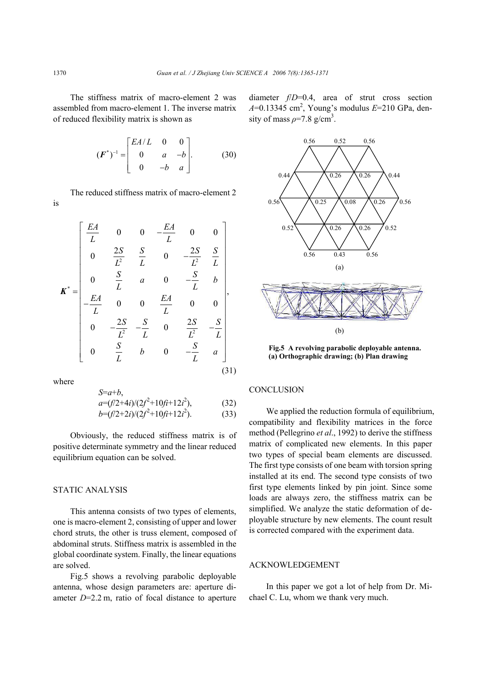The stiffness matrix of macro-element 2 was assembled from macro-element 1. The inverse matrix of reduced flexibility matrix is shown as

$$
(\boldsymbol{F}^*)^{-1} = \begin{bmatrix} E A/L & 0 & 0 \\ 0 & a & -b \\ 0 & -b & a \end{bmatrix} . \tag{30}
$$

The reduced stiffness matrix of macro-element 2 is

$$
\mathbf{K}^* = \begin{bmatrix} \frac{EA}{L} & 0 & 0 & -\frac{EA}{L} & 0 & 0 \\ 0 & \frac{2S}{L^2} & \frac{S}{L} & 0 & -\frac{2S}{L^2} & \frac{S}{L} \\ 0 & \frac{S}{L} & a & 0 & -\frac{S}{L} & b \\ -\frac{EA}{L} & 0 & 0 & \frac{EA}{L} & 0 & 0 \\ 0 & -\frac{2S}{L^2} & -\frac{S}{L} & 0 & \frac{2S}{L^2} & -\frac{S}{L} \\ 0 & \frac{S}{L} & b & 0 & -\frac{S}{L} & a \end{bmatrix},
$$
\n(31)

where

$$
a=(f/2+4i)/(2f^2+10fi+12i^2),
$$
  
\n
$$
b=(f/2+2i)/(2f^2+10fi+12i^2).
$$
 (33)

Obviously, the reduced stiffness matrix is of positive determinate symmetry and the linear reduced equilibrium equation can be solved.

#### STATIC ANALYSIS

*S*=*a*+*b*,

This antenna consists of two types of elements, one is macro-element 2, consisting of upper and lower chord struts, the other is truss element, composed of abdominal struts. Stiffness matrix is assembled in the global coordinate system. Finally, the linear equations are solved.

Fig.5 shows a revolving parabolic deployable antenna, whose design parameters are: aperture diameter *D*=2.2 m, ratio of focal distance to aperture diameter *f*/*D*=0.4, area of strut cross section *A*=0.13345 cm<sup>2</sup>, Young's modulus *E*=210 GPa, density of mass  $\rho$ =7.8 g/cm<sup>3</sup>.



**Fig.5 A revolving parabolic deployable antenna. (a) Orthographic drawing; (b) Plan drawing**

## **CONCLUSION**

We applied the reduction formula of equilibrium, compatibility and flexibility matrices in the force method (Pellegrino *et al*., 1992) to derive the stiffness matrix of complicated new elements. In this paper two types of special beam elements are discussed. The first type consists of one beam with torsion spring installed at its end. The second type consists of two first type elements linked by pin joint. Since some loads are always zero, the stiffness matrix can be simplified. We analyze the static deformation of deployable structure by new elements. The count result is corrected compared with the experiment data.

### ACKNOWLEDGEMENT

In this paper we got a lot of help from Dr. Michael C. Lu, whom we thank very much.